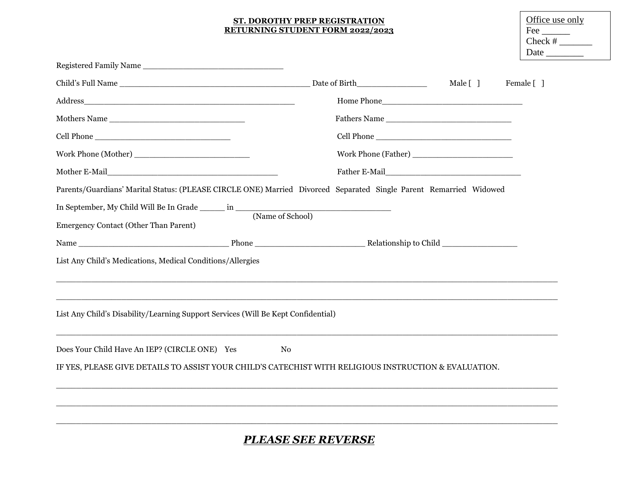#### **ST. DOROTHY PREP REGISTRATION RETURNING STUDENT FORM 2022/2023**

| Office use only |
|-----------------|
| Fee             |
| $Check \#$      |
| Date            |

|                                                                                                                                                        | Date of Birth__________________ | Male [ ]<br>Female [ ] |  |
|--------------------------------------------------------------------------------------------------------------------------------------------------------|---------------------------------|------------------------|--|
|                                                                                                                                                        |                                 |                        |  |
| Mothers Name                                                                                                                                           |                                 |                        |  |
|                                                                                                                                                        |                                 |                        |  |
|                                                                                                                                                        |                                 |                        |  |
|                                                                                                                                                        |                                 |                        |  |
| Parents/Guardians' Marital Status: (PLEASE CIRCLE ONE) Married Divorced Separated Single Parent Remarried Widowed                                      |                                 |                        |  |
|                                                                                                                                                        |                                 |                        |  |
| <b>Emergency Contact (Other Than Parent)</b>                                                                                                           |                                 |                        |  |
|                                                                                                                                                        |                                 |                        |  |
| List Any Child's Medications, Medical Conditions/Allergies                                                                                             |                                 |                        |  |
| List Any Child's Disability/Learning Support Services (Will Be Kept Confidential)                                                                      |                                 |                        |  |
| Does Your Child Have An IEP? (CIRCLE ONE) Yes<br>IF YES, PLEASE GIVE DETAILS TO ASSIST YOUR CHILD'S CATECHIST WITH RELIGIOUS INSTRUCTION & EVALUATION. | No                              |                        |  |
|                                                                                                                                                        |                                 |                        |  |

# *PLEASE SEE REVERSE*

 $\Box$